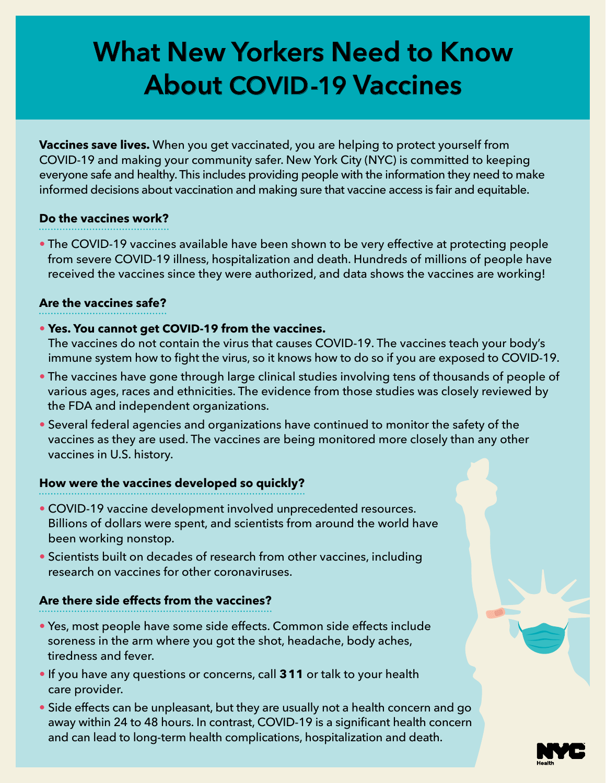# **What New Yorkers Need to Know About COVID-19 Vaccines**

**Vaccines save lives.** When you get vaccinated, you are helping to protect yourself from COVID-19 and making your community safer. New York City (NYC) is committed to keeping everyone safe and healthy. This includes providing people with the information they need to make informed decisions about vaccination and making sure that vaccine access is fair and equitable.

## **Do the vaccines work?**

- 
- The COVID-19 vaccines available have been shown to be very effective at protecting people from severe COVID-19 illness, hospitalization and death. Hundreds of millions of people have received the vaccines since they were authorized, and data shows the vaccines are working!

#### **Are the vaccines safe?**

- **Yes. You cannot get COVID-19 from the vaccines.**
- The vaccines do not contain the virus that causes COVID-19. The vaccines teach your body's immune system how to fight the virus, so it knows how to do so if you are exposed to COVID-19.
- The vaccines have gone through large clinical studies involving tens of thousands of people of various ages, races and ethnicities. The evidence from those studies was closely reviewed by the FDA and independent organizations.
- Several federal agencies and organizations have continued to monitor the safety of the vaccines as they are used. The vaccines are being monitored more closely than any other vaccines in U.S. history.

#### **How were the vaccines developed so quickly?**

- COVID-19 vaccine development involved unprecedented resources. Billions of dollars were spent, and scientists from around the world have been working nonstop.
- Scientists built on decades of research from other vaccines, including research on vaccines for other coronaviruses.

## **Are there side effects from the vaccines?**

- Yes, most people have some side effects. Common side effects include soreness in the arm where you got the shot, headache, body aches, tiredness and fever.
- If you have any questions or concerns, call 311 or talk to your health care provider.
- Side effects can be unpleasant, but they are usually not a health concern and go away within 24 to 48 hours. In contrast, COVID-19 is a significant health concern and can lead to long-term health complications, hospitalization and death.